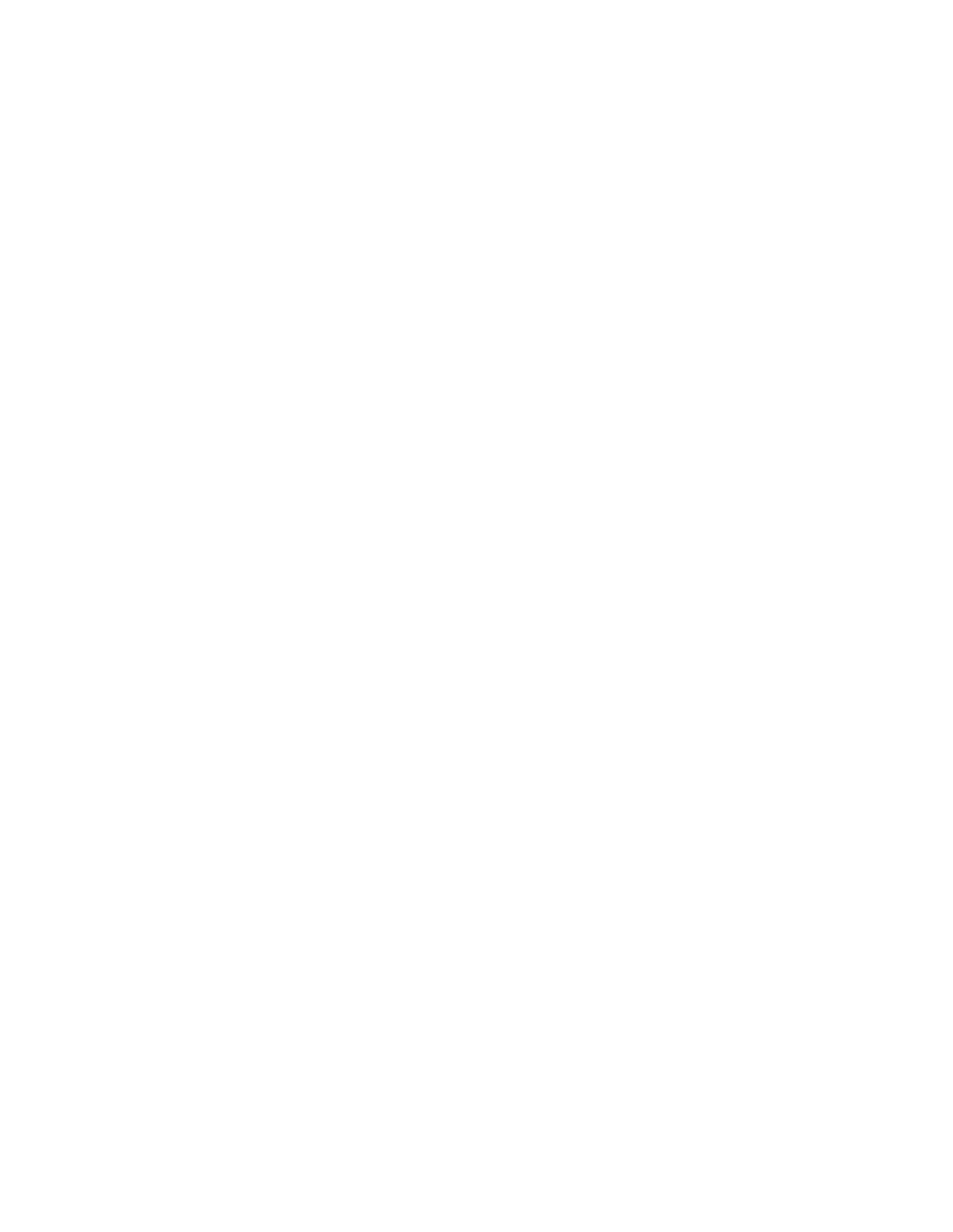

| TITLE:                           | School Site Emergency/Disaster Supplies                                                    | <b>ROUTING</b>                                                                                                               |
|----------------------------------|--------------------------------------------------------------------------------------------|------------------------------------------------------------------------------------------------------------------------------|
| <b>NUMBER:</b><br><b>ISSUER:</b> | REF-5451.2<br>Earl R. Perkins, Associate Superintendent<br>Division of District Operations | <b>Local District Superintendents</b><br><b>Administrators of Operations</b><br><b>Operations Coordinators</b><br>Principals |
| DATE:                            | August 15, 2016                                                                            | Non-School Site<br>Administrators                                                                                            |

**PURPOSE:** The purpose of this Reference Guide is to provide guidance for acquiring and maintaining emergency supplies at school sites.

**MAJOR CHANGES:** This document replaces District Reference Guide 5451.1 of the same subject issued by School Operations, dated April 11, 2013. The revised Reference Guide reflects current District organization and contact information.

> Inventory lists have been added (Attachment D) to assist schools with maintaining adequate emergency supplies onsite.

**INSTRUCTIONS:** I. Background

LAUSD schools have the responsibility to care for and protect more than 600,000 students every day. Thousands of district students are transported many miles to and from school every day. After any disaster, many students may not be able to return home until the roads and transportation systems are restored. It is the responsibility of the school staff to protect and care for the students until they are reunited with their parents, guardians or their approved designees. Section 3100 of the California Civil Code stipulates that all public employees are "Disaster Service Workers" and as such, District employees will be tasked to care for students during a disaster as part of that responsibility.

It is the responsibility of site administration to develop and implement plans to provide a minimum of a 72-hour supply of emergency water, food, and other emergency supplies and equipment.

II. Site Administrator Responsibilities

Emergency preparedness activities include the storage and maintenance of specific emergency supplies for all students and staff. Sections III through XI provide specific information for each of the following requirements:

- 1. One-half gallon of potable water per person, per day, for three days; include both students and staff in the calculation
- 2. Emergency food supplies in case foods are not available from the school cafeteria
- 3. First aid supplies that provide sufficient resources for the school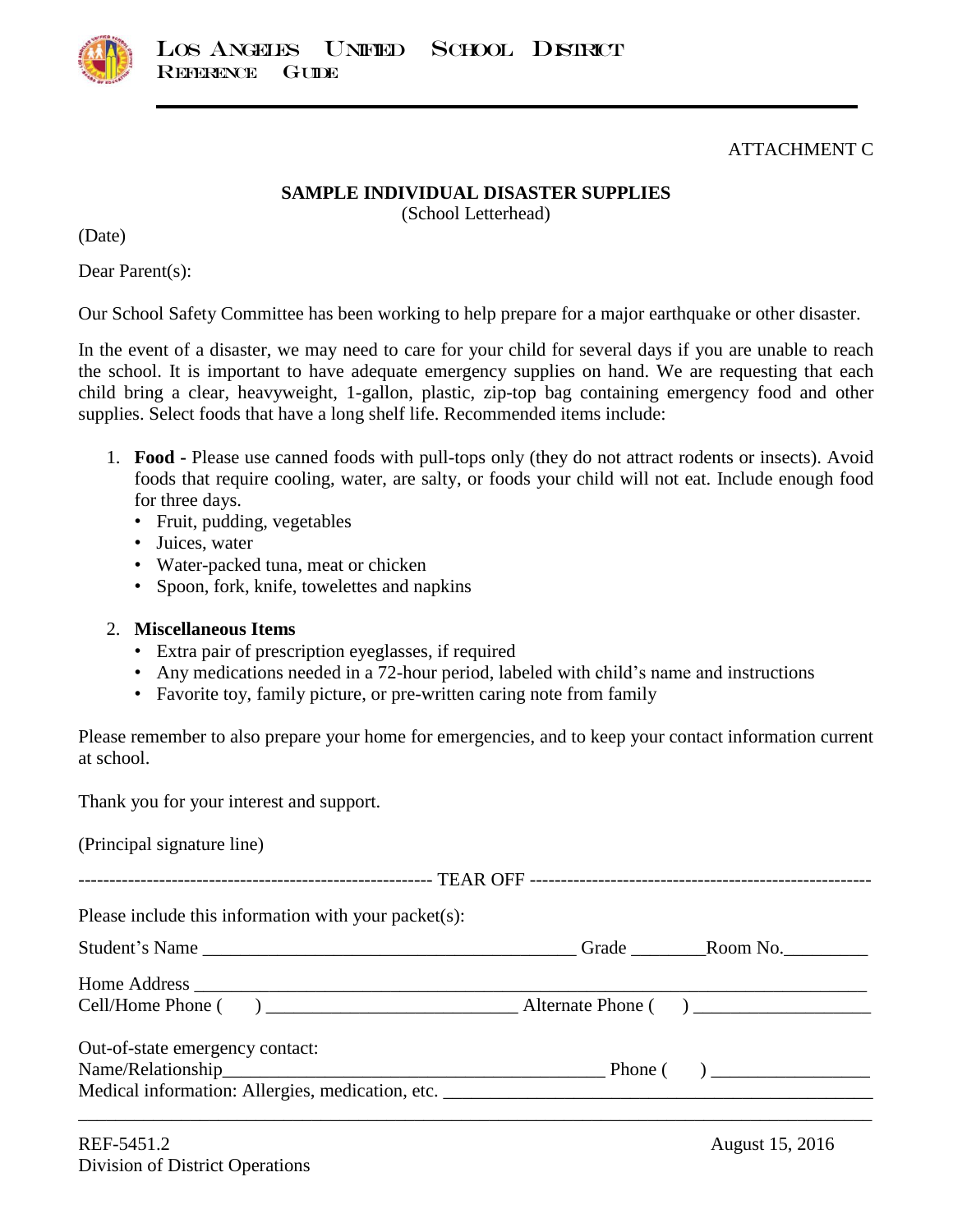

population; the current standard requires one District-approved first aid supply kit for every 400 individuals on campus

- 4. Search and Rescue (SAR) supplies and equipment for each SAR team, including personal protective equipment (PPE) for all team members
- 5. Identification of sanitary facilities, separated by gender, with adequate sanitation supplies
- 6. Classroom emergency supplies
- 7. Sufficient number of hand-held radios available for emergency use
- 8. School emergency documents
- III. Administrative Certification

Each semester, principals are to use the included checklist (Attachment A), and certify the contents of their emergency bin, using the Administrator Online Certification system. Supplies should be stocked in adequate amounts (at least to district minimum standards as specified in this document), organized, in good working order, and within applicable expiration guidelines. Schools can use the sample inventory list of emergency supplies (Attachment D) to assist with this process.

Coordination of all emergency preparedness site efforts must include participation and access by all site users, including Early Education Centers, Adult Schools, and Beyond the Bell before and after-school programs (i.e. Youth Services, LA's Best, Ready-Set-Go, Youth Development Program, Woodcraft Rangers, etc.).

Any time that there are students on a campus, emergency supplies must be accessible to support the students during an emergency. This access must be combined with training and drills so that students and staff have the skills, knowledge, and tools that successful emergency response demands.

IV. Water

LAUSD has established the following "minimum standard" formula for calculating each site's emergency water needs: one-half gallon per person (students and staff) per day for three days. This quantity of water is in addition to any inventory of milk, juice, and/or other beverages normally carried as part of the site's ongoing inventory.

Example: Based on the above formula, the quantity of emergency water to be stored for a site housing a total of 520 students and staff would be:

> 520 x 0.5 gallon per day per person x 3 days  $= 780$  gallons, or 14 drums (55-gallon each) of treated water

During an emergency, the following precautions should be taken to preclude the ingestion of contaminated water, which may cause illness: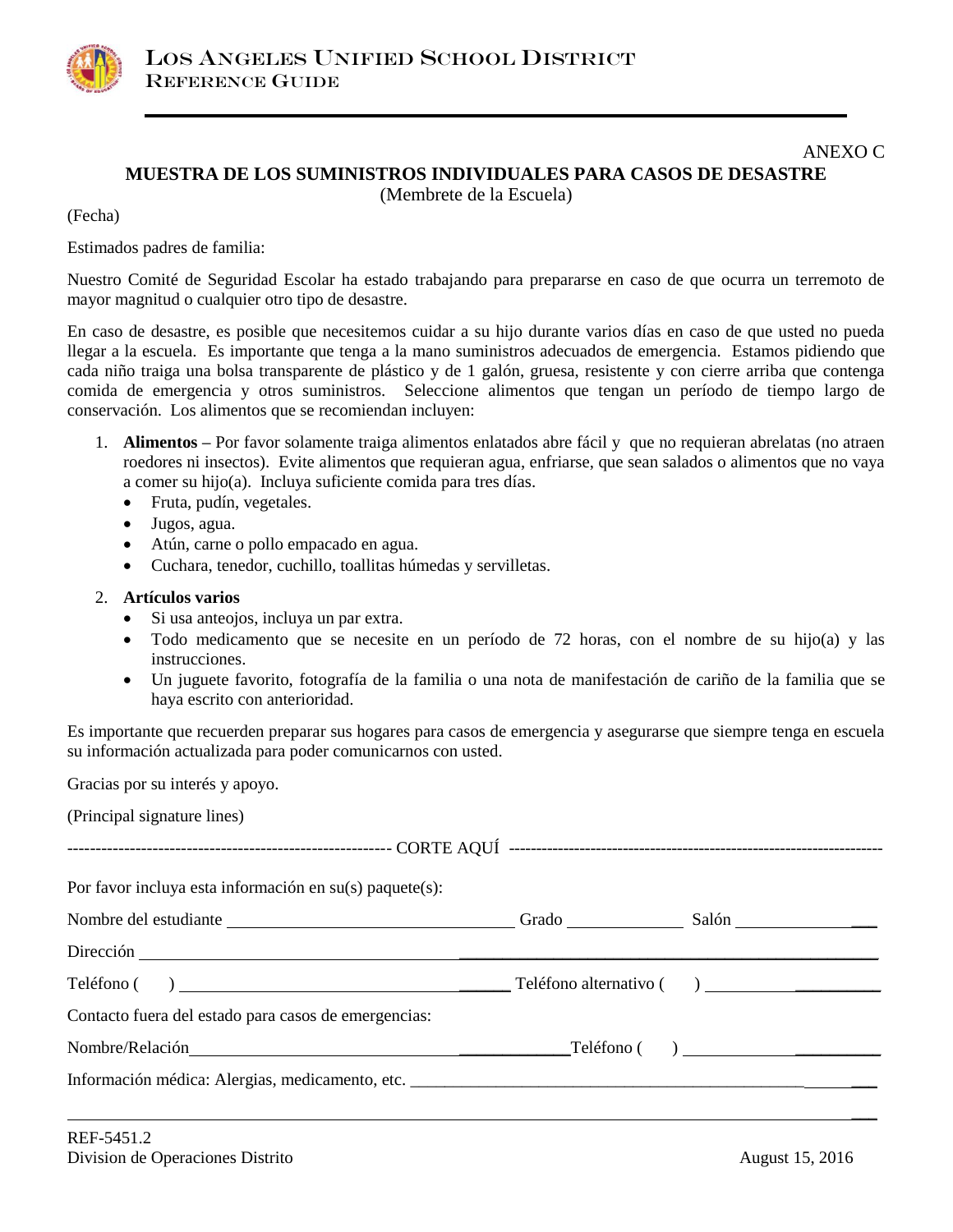

- 1. Do not use water from swimming pools or boilers. Chemicals that are added to this water make it unsafe to drink and may cause illness, even if water is boiled.
- 2. Water drained from water heaters may have an off-color, odor or taste. It is preferable to keep fresh supplies of potable water.
- 3. Be suspicious of stale-smelling or cloudy water.
- 4. Untreated stored tap water must be changed every six months. During an emergency, if water quality is ever in question, purify before use according to the chart below.
- 5. Purification can be accomplished with plain chlorine bleach. CAUTION: DO NOT USE GRANULAR OR SCENTED BLEACHES, COLOR-SAFE BLEACH OR BLEACH WITH ADDED CLEANERS; THEY ARE POISONOUS. To purify water with chlorine bleach, use the following formula:

| <b>Amount of Water</b> | Clear Water            | Cloudy Water  |
|------------------------|------------------------|---------------|
| 1 Quart                | 2 drops                | 4 drops       |
| 1 Gallon               | 8 drops                | 16 drops      |
| 5 Gallons              | $\frac{1}{2}$ teaspoon | 1 teaspoon    |
| 55 Gallons             | 2 tablespoons          | 2 tablespoons |

Because most water stored at schools is in 55-gallon barrels, the containers are too heavy to move. Schools will need to pump the water from the barrels into water carriers and set up water stations. The District supplies 55-gallon drums to schools for storage of water to be used in case of an emergency. Storage of water in containers should be done carefully and efficiently to maximize storage time and to ensure that water will remain usable when needed.

A. The 55-gallon supply drums must be clean and meet Food and Drug Administration (FDA) and Department of Transportation (DOT) requirements for contact with food and water. When filling brand new drums, open the cap and turn the barrel over to remove plastic pieces, which may have chipped off during delivery. When refilling drums, use an electric pump available through your Maintenance and Operations Area Office to empty the drums for water replacement.

 Clean the barrels and flush them out with water or a 1:10 bleach/water solution before use. Because filled water barrels weigh over 400 pounds, they should first be positioned in the emergency bin while empty, and then filled in place. Care should be taken to position the water barrel so the opening that the pump will use will not be blocked by a fixed object such as a shelf.

B. Fill each drum to the top with clean tap water. To avoid contamination, the hose should not come in contact with the water in the drum. If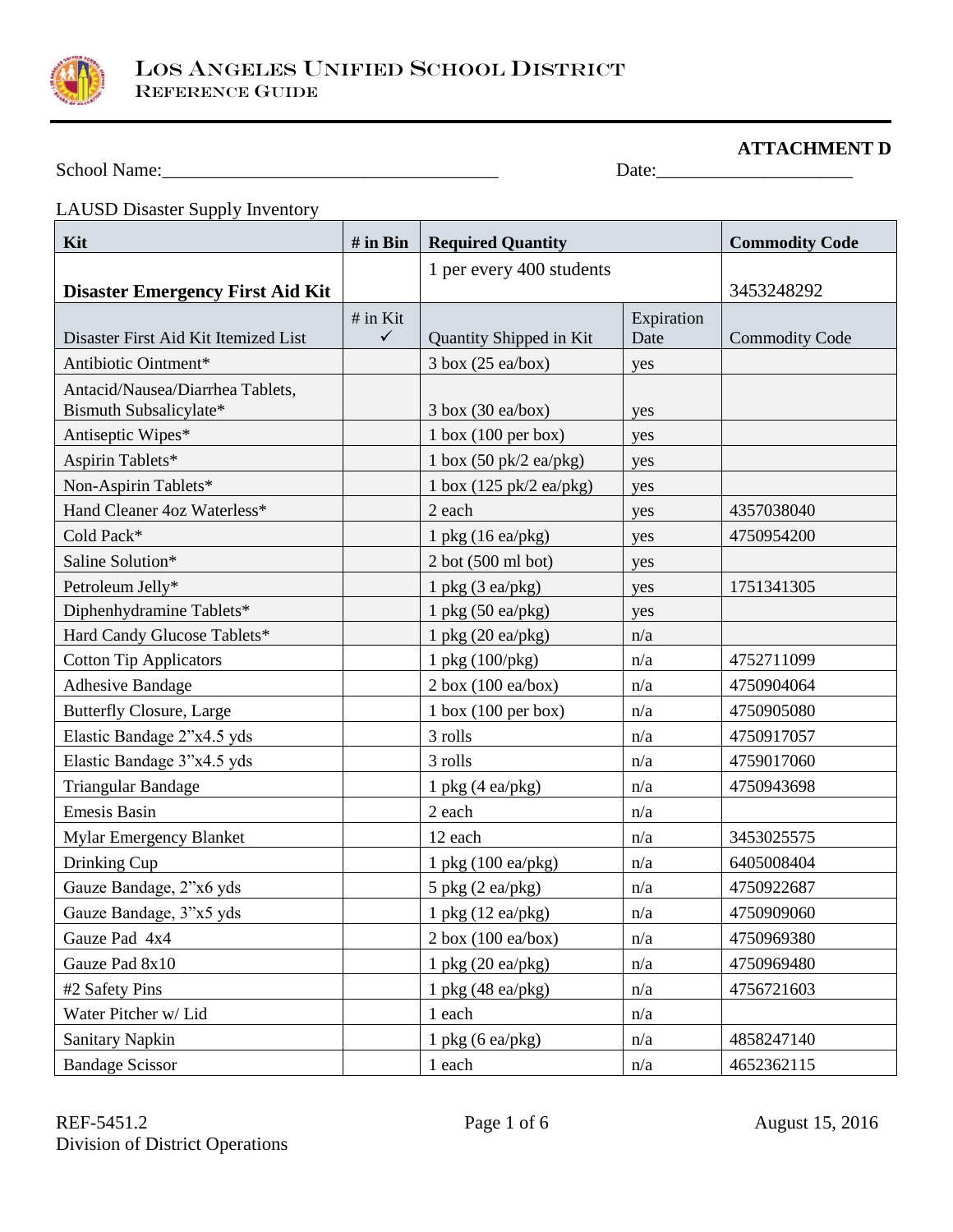

possible, use a new hose and store it with the water drums for future use.

- C. Chemically purify water with fresh, unscented liquid chlorine household bleach (5.25% sodium hypochlorite) after filling barrels.
	- 1. Use 2 Tablespoons of plain, liquid chlorine bleach per 55-gallon drum. DO NOT OVERTREAT.
	- 2. For treatment of water in other sized containers, refer to the American Red Cross web site: www.redcross.org.
- D. Secure the cap tightly to ensure an airtight seal. When replacing the plugs (also called bungs) in the barrel, please note that each barrel has two different-sized threads in the openings. Make sure to use the correct plug for the corresponding hole. Do not force or cross-thread the plugs, as the drum will not seal completely.
- E. Label the drums using the provided label (Attachment B) and a permanent black marker. Use Attachment B as a master; fill in the information and make enough copies for all the drums that are being treated. Tape the labels to the drums. Unlabeled drums are to be considered expired.
- F. Inspect the drums during regularly scheduled earthquake drills. Check for leakage and ensure that caps are tightly sealed. If leaks are detected, drums should not be used to store drinking water. Replace leaking drums with new FDA-approved drums.
- G. Liquid chlorine bleach loses strength over time and the bleach supply in the emergency bin should be replaced regularly at each scheduled earthquake drill. Mark the date on the new bleach bottle, as you replace your supply.
- H. If the water is treated with a product other than bleach, write that information on the label and attach a copy of the product's information sheet to the barrel. It is important for future users to know how the water was treated. Ensure that the alternative product is approved for use by the Office of Environmental Health and Safety (OEHS). If you have any questions about products approved to treat drinking water, call OEHS at (213) 241-3199.
- I. Drums should be stored in an accessible location and out of direct sunlight. Store wrenches, pumps, extra bleach container and a measuring spoon with the drums, along with a copy of this reference guide. Do not stack filled water barrels atop one another.
- J. Well-sealed and properly treated water may be stored for up to three years.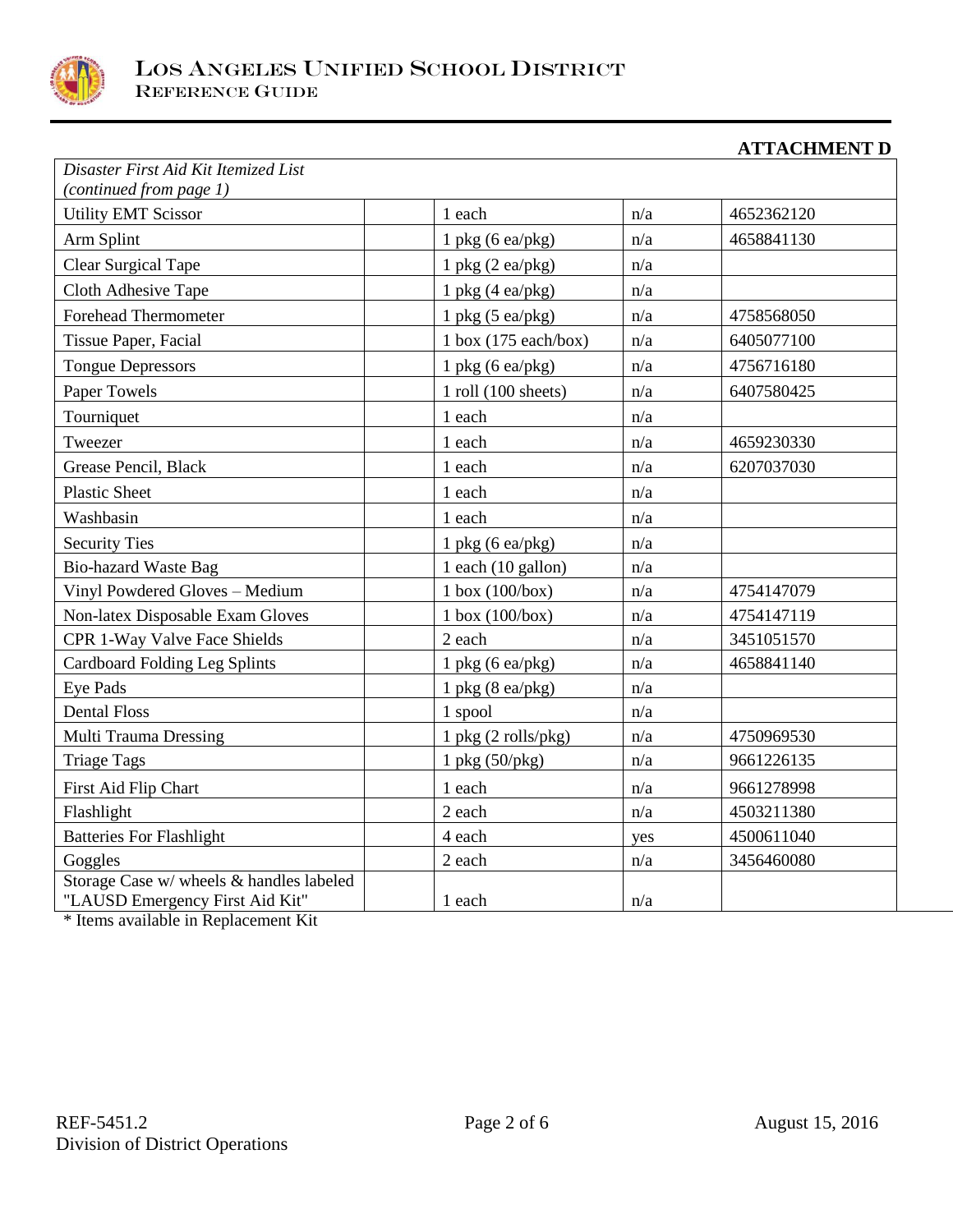

- K. Three years from the date of filling and treatment, replace and treat the water again, following procedures in this Reference Guide.
	- 1. NOTE: Prior to use during an emergency, water must be repurified with another two tablespoons of bleach. Mix thoroughly and allow to stand for 30 minutes before using. The water should have a slight chlorine taste and odor.
	- 2. SUGGESTION: To improve the taste of the water, you may wish to purchase and store powdered drink mix with other disaster supplies. Powdered drink mix and cups should be part of the school's emergency supplies.

| <b>General Stores</b> | <i>Item</i>                                       |
|-----------------------|---------------------------------------------------|
| Distribution          |                                                   |
| Material #            |                                                   |
| 6405008404            | 4 oz. cups (plan on four or more cups per person) |
| 4508723300            | Collapsible water carriers                        |
| 7200620055            | Pump                                              |
| 1004570546            | Water barrel 55 gallon                            |
| 5052538151            | Bleach                                            |
| 2409186065            | Measuring spoons (to measure bleach for each      |
|                       | water barrel)                                     |

## V. Food

Current emergency protocols anticipate that a three-day food supply will be made available at each school in the case of an emergency.

The availability of food products from Food Services will vary depending on the type of cafeteria at a school. Due to storage issues and delivery schedules for schools, Food Services cannot guarantee that a three-day supply of food will always be available at each school site cafeteria. School Administration should work with the Food Services Manager to determine what foods need to be available for emergency use at the site, and plan for the purchasing and storage of additional emergency foods.

The following food availability variables apply:

- 1. Preparation sites with kitchens (elementary & secondary sites serving food not delivered from the Newman Nutrition Center) will have the following types of stored food:
	- Canned food products, such as fruit and vegetables
	- Dry goods, such as graham crackers and cereal
	- Non-refrigerated produce
	- Refrigerated and frozen food products (only available if food can be safely prepared and served and all food safety procedures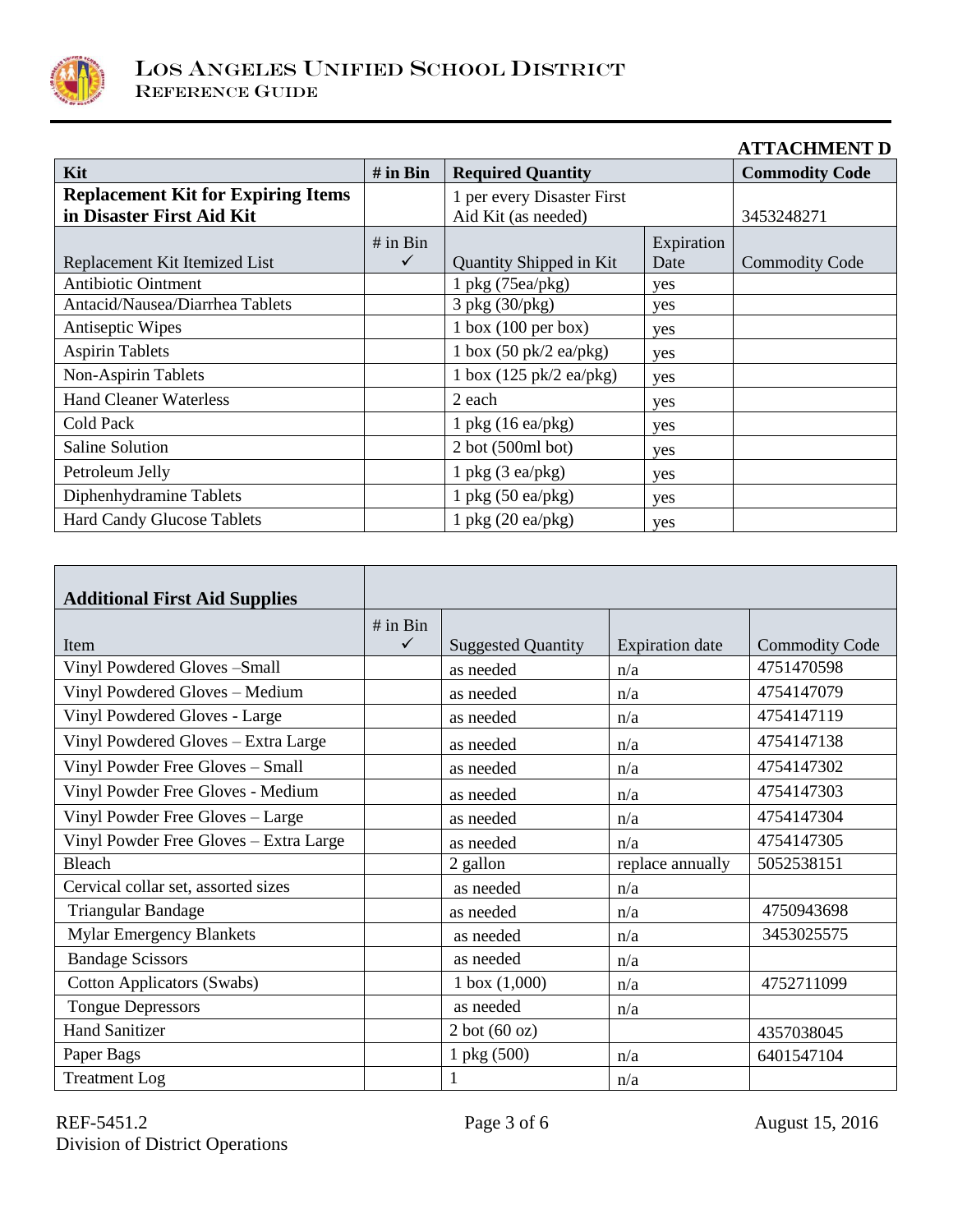

have been maintained—if electricity or gas has been shut off, these products will not be available)

- 2. Newman Nutrition Center Sites (satellite kitchens) will have:
	- Limited dry goods, including graham crackers and cereal
	- Limited back-up meals such as shelf stable supper kits or refrigerated supper kits (lack of storage space and timed delivery schedules prohibits the storage of additional food items not on the menu).

Shelf-stable meals and other supplemental food supplies can be ordered by Administration and placed in the emergency bin, preferably in a new metal trash can to protect the meals from rodents. Schools can order 45 gallon metal trash cans from the General Stores Distribution using Distribution Material # 4503424480.

If additional food is stored on campus or in the Emergency Supply Bin, please be aware of the following conditions:

- Date and rotate any stored food that is not regularly used.
- Avoid food that will attract rodents or insects. Keep food in sealed metal containers, such as new trash cans. Secure the lid on the can and seal it with duct tape, which can be ordered from the General Stores Distribution using Distribution Material # 8322409077.
- Purchase and store a manual can opener in the bin with the food.
- Food bars (five-year shelf life) are available from outside vendors. One bar meets one person's caloric needs for three days.
- 3. Invoicing For Food Used During An Emergency

Due to the nature of the emergency, food provided by the Food Services Division may or may not be invoiced to the site administration for reimbursement.

- If the emergency is a declared State or National Emergency, the school Food Services Manager will provide food products to students and keep records of items served. The cost of these foods may be reimbursed through the government.
- If the event/emergency is not a declared State or National Emergency, the school Food Services Manager will record food items served on a cafeteria invoice and present this to site administration for reimbursement.
- If the American Red Cross uses the school as a shelter for the public, it will utilize its own food supply or reimburse Food Services directly for any food provided.

Specific details regarding food services during emergency situations (lockdowns, etc.) are located on the Principal's Resource page of the Food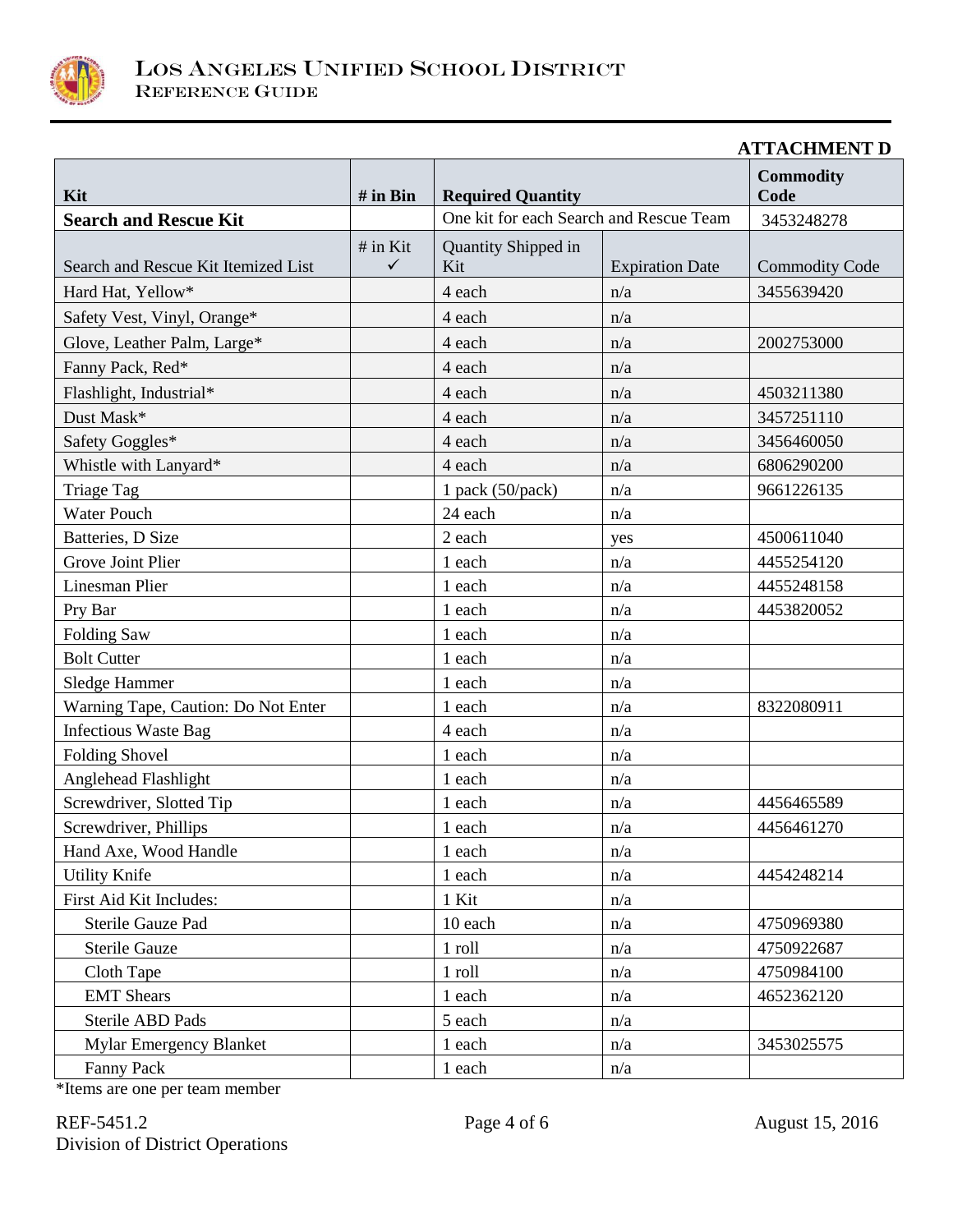Services website at [http://achieve.lausd.net/cafela.](http://achieve.lausd.net/cafela) Food Services Division Standard Operating Procedures are available through each school's Food Services Manager.

VI.First Aid Supplies

First aid kits are available through General Stores Distribution (Distribution Material # 3453248292, listed in the "First Aid & Emergency Supplies" section). Sites are to have a minimum of one kit for every 400 people on campus. Each kit assumes a 10% injury rate and contains sufficient supplies to treat 40 injured people.

The following items in this kit need to be replaced on a regular basis:

| Qty | Unit | Item                                                                 |
|-----|------|----------------------------------------------------------------------|
| 1   | pkg  | Antibiotic ointment 1/32 oz, in foil packet, 75 ea/pkg               |
| 3   | pkg  | Antacid/Nausea/Diarrhea Tablets, 30/pkg                              |
| 1   | box  | Antiseptic Wipes, 5" x 7", 100 per box                               |
| 1   | box  | Aspirin Tablets, $325 \text{ mg} - 2 \text{ tablets/pkg}$ 50 pkg/box |
|     | box  | Non-Aspirin Tablets, 325 mg - 2 tablets/pkg 125/box                  |
| 1   | box  | Non-Aspirin Tablets, 325 mg - 2 tablets/pkg 125/box                  |
| 1   | pkg  | Hand Cleaner 4oz Waterless 70% ethyl alcohol, 2 ea/pkg               |
| 1   | pkg  | Cold Pack $6''$ x 9", 16 ea / pkg.                                   |
| 2   | bot  | Saline solution, 0.9% sodium chloride, 500ml bot.                    |
| 1   | pkg  | Petroleum Jelly 1oz, 3 ea/pkg                                        |
| 1   | pkg  | Diphenhydramine tablets, 12.5 foil/blister pack, 50 ea/pkg           |
|     | pkg  | Hard candy glucose tablets, 20 ea/pkg                                |

All of the above items can be ordered in one package (Distribution Material #3453248271 *First Aid Kit Replacement Supplies*), which allows schools to replace all expired first aid items at the same time.

The LAUSD first aid kits have been approved for District use by District Nursing Services. They contain only materials that are approved for use by people with a Standard First Aid Certificate and do not contain medicines or supplies that are likely to cause an allergic reaction.

Schools are to supplement their first aid supplies with:

- Non-latex, disposable exam gloves and personal protective equipment to be used by the first aid team
- Bleach to be used to make a universal disinfectant (1 part bleach: 10 parts water) to disinfect surfaces or spills of blood or other bodily fluids
- Additional specific medical supplies that may be anticipated based on the school's condition and population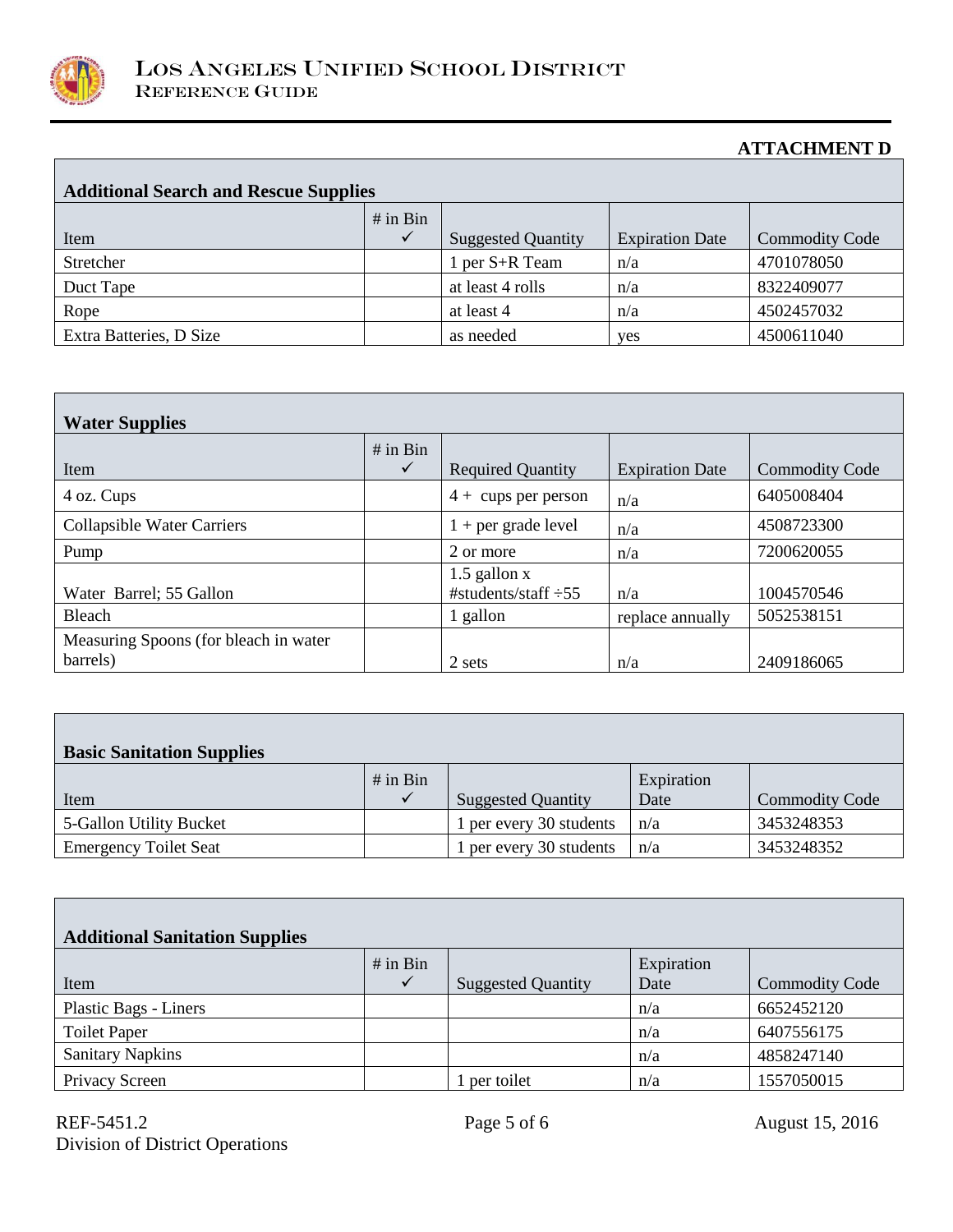

| <b>General Stores</b> | Unit       |                 | <i>Item</i>                            |  |
|-----------------------|------------|-----------------|----------------------------------------|--|
| <i>Distribution</i>   |            |                 |                                        |  |
| Material #            |            |                 |                                        |  |
| 4751470598            | <b>box</b> |                 | Vinyl Powdered Gloves - Small          |  |
| 4754147079            | <b>box</b> |                 | Vinyl Powdered Gloves - Medium         |  |
| 4754147119            | <b>box</b> |                 | Vinyl Powdered Gloves - Large          |  |
| 4754147138            | <b>box</b> |                 | Vinyl Powdered Gloves - Extra Large    |  |
| 4754147302            | box        |                 | Vinyl Powder Free Gloves - Small       |  |
| 4754147303            | <b>box</b> |                 | Vinyl Powder Free Gloves - Medium      |  |
| 4754147304            | <b>box</b> |                 | Vinyl Powder Free Gloves - Large       |  |
| 4754147305            | <b>box</b> |                 | Vinyl Powder Free Gloves – Extra Large |  |
| 5052538151            |            | galBleachBleach | <b>Bleach</b>                          |  |

Schools are expected to always be aware of the specific needs of vulnerable students and staff and stock their supplies accordingly. Medicines stored at school should be evacuated to the first aid/triage station during all emergencies and drills.

Students who have specific needs include students receiving Special Education services as well as students listed in the Welligent reports that are kept in the School Emergency Response Box.

## VII.Search and Rescue Supplies

Search and rescue teams consist of four members. The number of search and rescue teams needed varies by site. Schools can purchase a search and rescue kit with all of the supplies needed for one team by ordering Distribution Material # 3453248278 from General Stores Distribution. The kit contains both the personal protective equipment (PPE) needed for every member of the team and their tools.

| <b>BASIC SEARCH AND RESCUE (SAR Tools)</b><br>(Supplies per 4-Member Team) |                            |
|----------------------------------------------------------------------------|----------------------------|
| <b>General Stores Distribution</b><br>Material #                           | <i>Item</i>                |
| 4455254120                                                                 | Adjustable pliers (10")    |
| 4455235140                                                                 | Lineman pliers $(8)$       |
| 4455248158                                                                 | Pliers $(6)$               |
|                                                                            | Bolt cutters (18")         |
|                                                                            | Hammer (3 lbs.)            |
| 6652452120                                                                 | Plastic bags (6)           |
|                                                                            | Folding shovel             |
|                                                                            | Anglehead flashlight       |
|                                                                            | Phillips screwdriver $(6)$ |
|                                                                            | Screwdriver (8"            |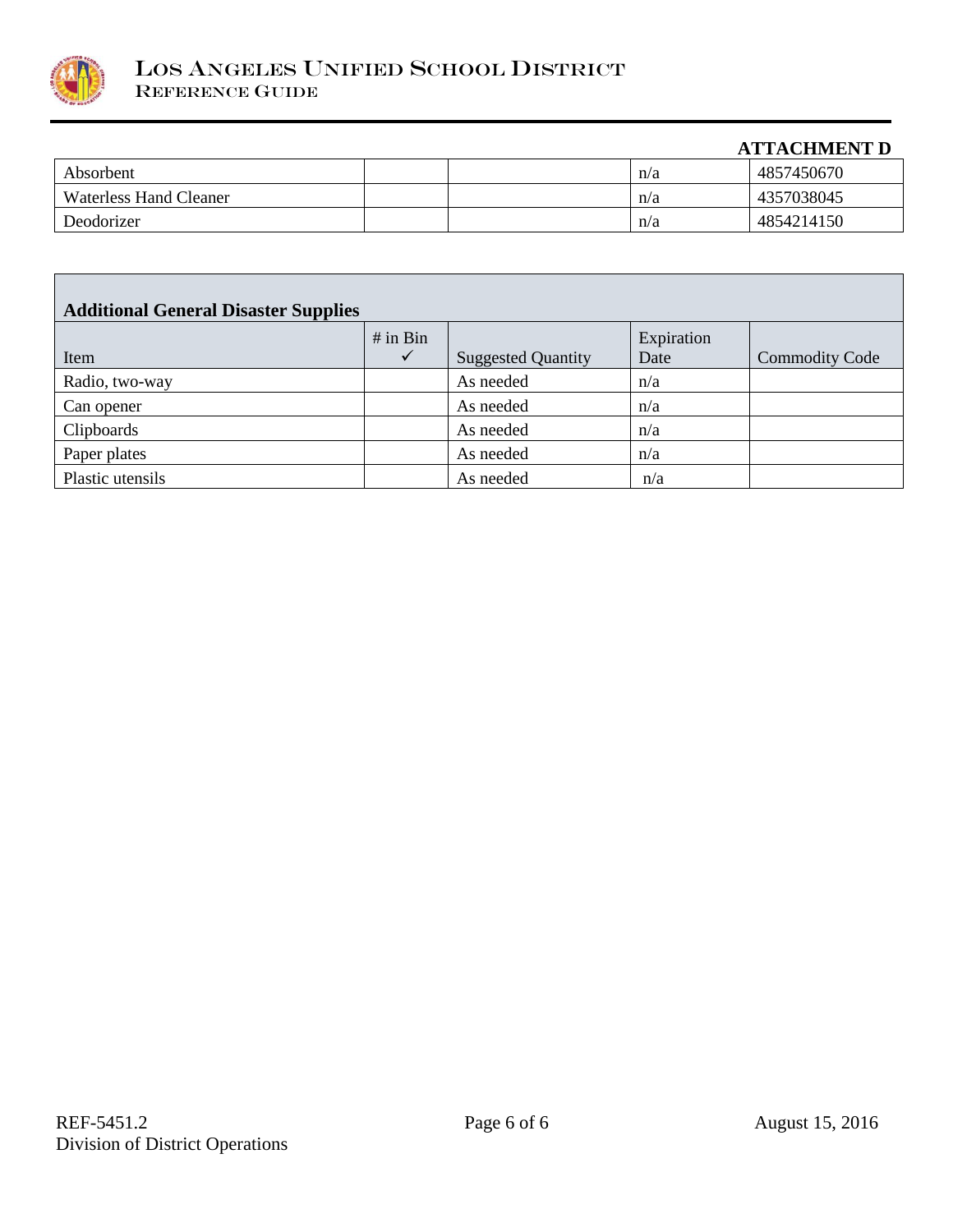

| 4454248214 | Utility knife                 |
|------------|-------------------------------|
|            | Prybar 24, 3/4                |
|            | <b>Folding Saw</b>            |
|            | Hand Axe Wood Handle 15"      |
|            | Duffle bag                    |
| 4701078050 | Stretcher                     |
| 8322080911 | Barricade tape (Do Not Enter) |
|            | 24 Each Water Pouch           |

| BASIC SEARCH AND RESCUE (SAR PPE Supplies) |                          |  |
|--------------------------------------------|--------------------------|--|
| (Supplies per Team Member)                 |                          |  |
| <b>General Stores Distribution</b>         | <i>Item</i>              |  |
| Material #                                 |                          |  |
| 5 Colors:                                  |                          |  |
| 3455639420,                                | Hard hat (OSHA approved) |  |
| 22, 30, 35                                 |                          |  |
|                                            | <b>Vest Orange</b>       |  |
|                                            | Gloves, leather palms    |  |
| 4503211380                                 | Flashlight               |  |
| 3457251110                                 | Dusk mask                |  |
| 3456560050                                 | Safety goggles           |  |
| 3453248300                                 | First-aid kit (small)    |  |
| 6806290200                                 | Whistle with lanyard     |  |
| 9661226135                                 | Triage tag (50 pkg)      |  |
| 4500611040                                 | Extra batteries ("D")    |  |
| 8322409077                                 | Duct tape                |  |
| 4502457032                                 | Rope                     |  |
|                                            | Fanny pack, red, 10 x 4  |  |

## VIII.Sanitation Supplies

Schools need to provide enough portable toilets and sanitary supplies to serve their school population. The supplies that are needed can be purchased through the District's General Stores Distribution. Many of these supplies can be ordered with regular school custodial supplies and rotated in the emergency supply bin so they remain fresh.

Many schools also provide sanitation supplies as part of a classroom lockdown kit. To eliminate the cost of purchasing two sets of supplies, schools with lockdown kits are encouraged to have teachers bring those kits with them to the Assembly Area when they evacuate. Schools are expected to have one toilet for every 30 people on campus.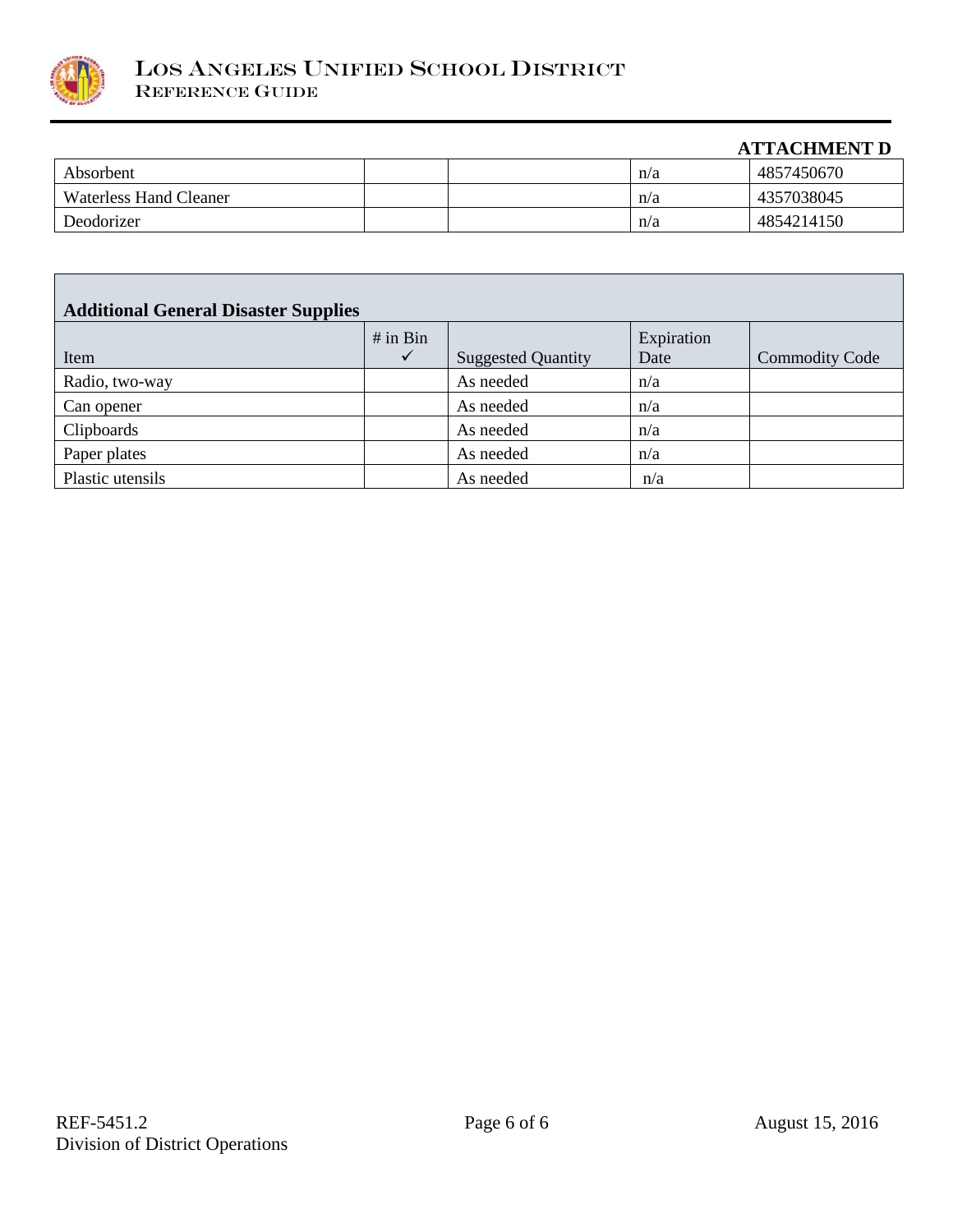

| <b>BASIC SANITATION SUPPLIES</b>                 |                              |  |
|--------------------------------------------------|------------------------------|--|
| <b>General Stores Distribution</b><br>Material # | <i>Item</i>                  |  |
| 3453248353                                       | 5-Gallon Utility Bucket*     |  |
| 3453248352                                       | <b>Emergency Toilet Seat</b> |  |

\* Schools can save and recycle the 5-gallon white buckets used for floor wax, etc. and eliminate the expense of purchasing new buckets.

| OTHER SANITATION SUPPLIES THAT ARE NEEDED |                               |  |
|-------------------------------------------|-------------------------------|--|
| <b>General Stores Distribution</b>        | <i>Item</i>                   |  |
| Material #                                |                               |  |
| 6652452120                                | Plastic Bags - Liners         |  |
| 6407556175                                | <b>Toilet Paper</b>           |  |
| 4858247140                                | <b>Sanitary Napkins</b>       |  |
| 1557050015                                | Privacy Screen                |  |
| 4857450670                                | Absorbent                     |  |
| 4357038045                                | <b>Waterless Hand Cleaner</b> |  |
| 4854214150                                | Deodorizer                    |  |

Toilets/buckets that capture waste are preferable to other means of waste storage such as digging a field latrine. Human waste is to be stored in plastic bags and placed in SEPARATE dedicated dumpsters. IT IS TO BE CONSIDERED HAZARDOUS MATERIAL.

## IX. Emergency Containers

Every LAUSD school site has been provided with a shipping container exclusively for the storage of emergency supplies. Other items may not be stored in the emergency container at any time. Containers should be staged away from buildings near where students evacuate so that supplies are readily available during an emergency. The outside and inside of the container should be checked at least once each semester to ensure that there are no leaks or holes in the container and that is otherwise in good condition. Any leaks or holes should be repaired promptly to minimize the chance of water, vermin or damages to emergency supplies.

Each emergency container should have a covered handle with eyes through which a padlock can be placed. Emergency containers must be locked and schools are to use the covered lock area, which does not allow bolt cutters to be used on the lock and prevents theft of materials. A standard padlock may not fit inside the covered are. Schools that do not have a padlock that fits inside the covered lock area may contact the Maintenance and Operations Lock Department at 213-745-1600 for assistance with obtaining an appropriate lock. It is a good idea to lock the container in a visible location with a second, matching padlock as an additional theft deterrent.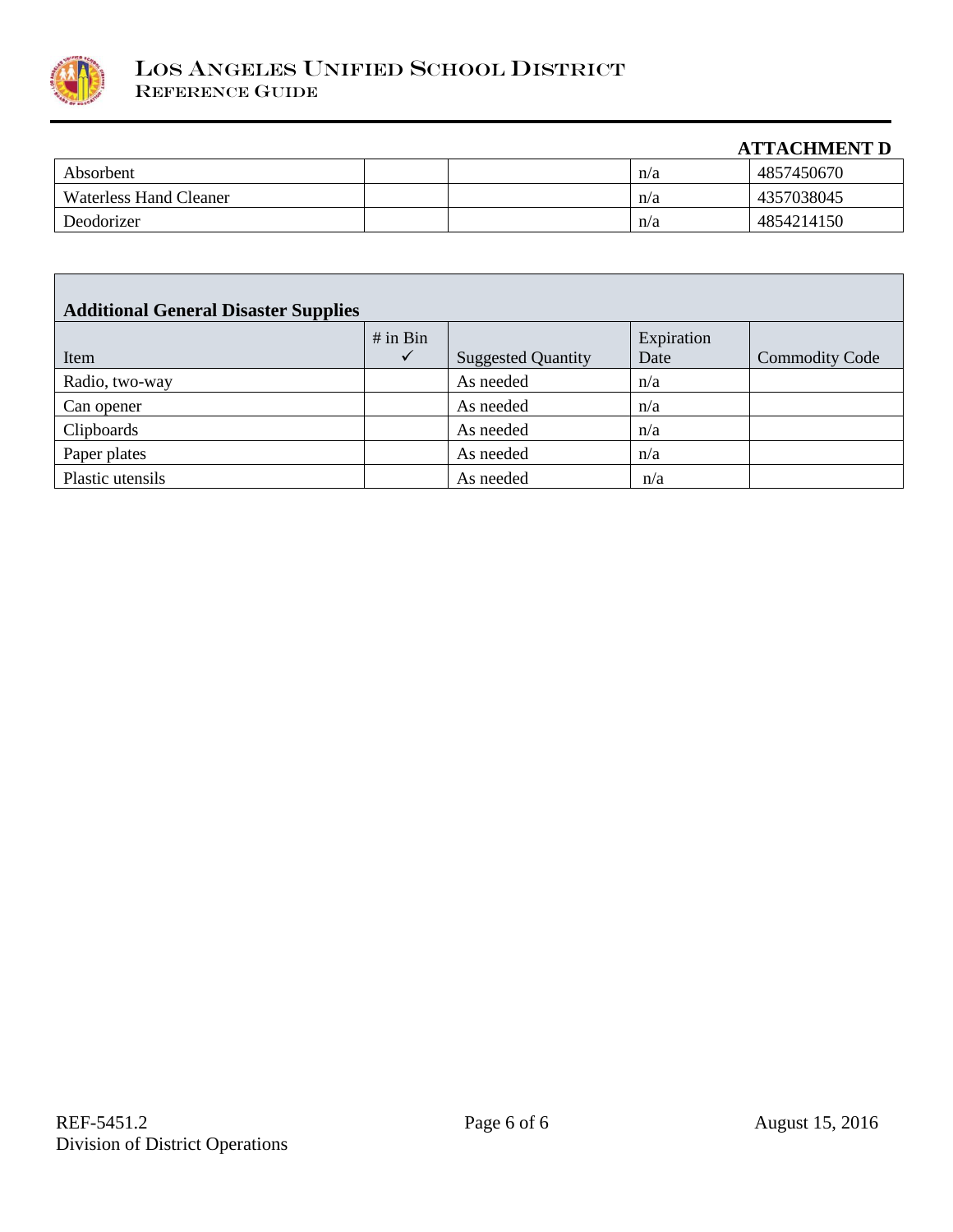

X. Classroom Emergency Supplies

Schools can supplement their emergency supplies by placing specific supplies in classrooms to be used during a lockdown or shelter in place. These supplies usually consist of sanitation supplies outlined in section VII, supplemented with a box of snack bars, bottled water, and simple first aid supplies. Classroom emergency supplies should be placed near the classroom's primary evacuation door.

Many elementary schools have a backpack in every classroom with class rosters, basic first aid supplies and comfort supplies for students.

Comfort supplies are essential for the well-being of students. Schools may elect to request that parents provide comfort kits for students. Attachment C is a sample request letter that schools may use for this purpose. Schools should consider storing games and activities for use during prolonged evacuations. Some schools have rolls of butcher paper and crayons for students to use while they wait in the assembly area.

Many schools have a plastic tarp for every class. The tarp acts as a base for students to keep them together. In addition, the tarp can be used as a rain cover for the class during inclement weather or as a ground cover when sitting on the grass. Schools are asked to store cases of large plastic bags that can be used as ponchos to keep students dry in wet weather or warm on cold, windy days.

XI. Two-Way Radios

Schools are to have at least one two-way radio that is configured to contact another school or the Los Angeles School Police Department in an emergency. Early education centers have a radio that they can use to contact the closest elementary school. Elementary schools have at least one "Emergency" radio that has a second channel used to contact their closest secondary school. Secondary schools have a base station that has a second channel that can contact School Police directly. Emergency radio information is found in Reference Guide 6343.0, *School-Based Radio Systems*

Because these radios may be the only reliable method of communication in a major emergency, schools are expected to test them during the fall and spring disaster drills. The Inter-Campus/District-wide Safety Communications Test is held every semester to test radio communications. Information about the radio test can be found in Reference Guide 5854.3, *Inter-Campus/District-wide Safety Communications Test*, updated annually.

Schools should have an adequate number of two-way radios to communicate among emergency teams during an emergency. All school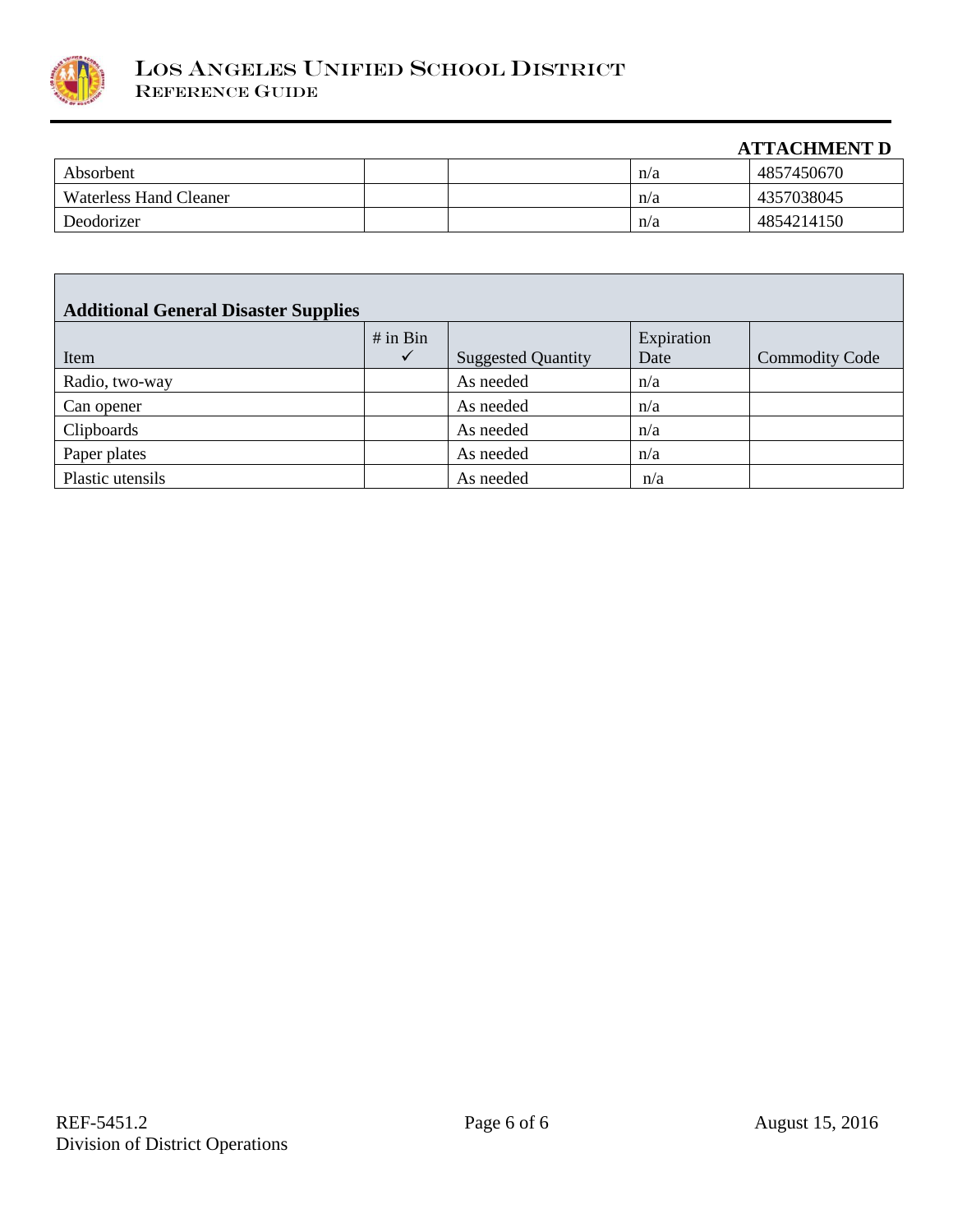

radios should be kept charged and in working order. Radios may be assigned to different employees during emergencies than during day-to-day school operation. The online radio inventory is to be completed annually by each school and is to include radios that may be reserved for emergency use. The inventory is accessed through the Radio Unit's website, [http://achieve.lausd.net/radiounit.](http://achieve.lausd.net/radiounit)

Schools that need to purchase replacement radios can order them directly from the General Stores warehouse. All requests for radio repair services should be submitted directly to the Radio Unit Branch using the IT Self-Service system at [http://achieve.lausd.net/Page/286.](http://achieve.lausd.net/Page/286)

XII. School Emergency Documents

School site administrative staff must store the supplies that they will need to manage emergencies at school sites. Schools should follow Reference Guide 5450.1 *School Emergency Response Boxes* and have current lists of students and staff in the box. Schools can also keep copies of emergencyrelated District Reference Guides in the box. Schools should have enough copies of the information kept in the box so that, if necessary, they can move their entire school population to another campus and be able to account for and reunite all students. Schools that need additional boxes can order them using Distribution Material # 3453248385.

In addition to hard copies of all school information, administrative staff needs to store office supplies for making signs for parents, yellow barricade tape to direct people away from hazards, pens, paper, markers, tape, and all school forms that will be necessary to manage the evacuation, accounting, and reunification of the entire school population.

XII. Sources of Funding/Donations

There is currently no specific budget line for emergency supplies. Schools can allocate funds from any non-restricted budget. Some schools have allocated a small percentage every year, while others have set aside larger amounts as needed.

District policy makes it possible for individuals and groups to make donations for emergency preparedness supplies and equipment. Parents, individuals, businesses, and community groups may directly donate funds and/or supplies to schools.

Fiscal Procedures:

- 1. Any Parent Teacher Student Association (PTSA), approved parent group, business, individual, or interested party may donate funds directly to the Student Body Fund in a trust account entitled "Earthquake Preparedness."
- 2. All gifts to school student bodies must be approved by the School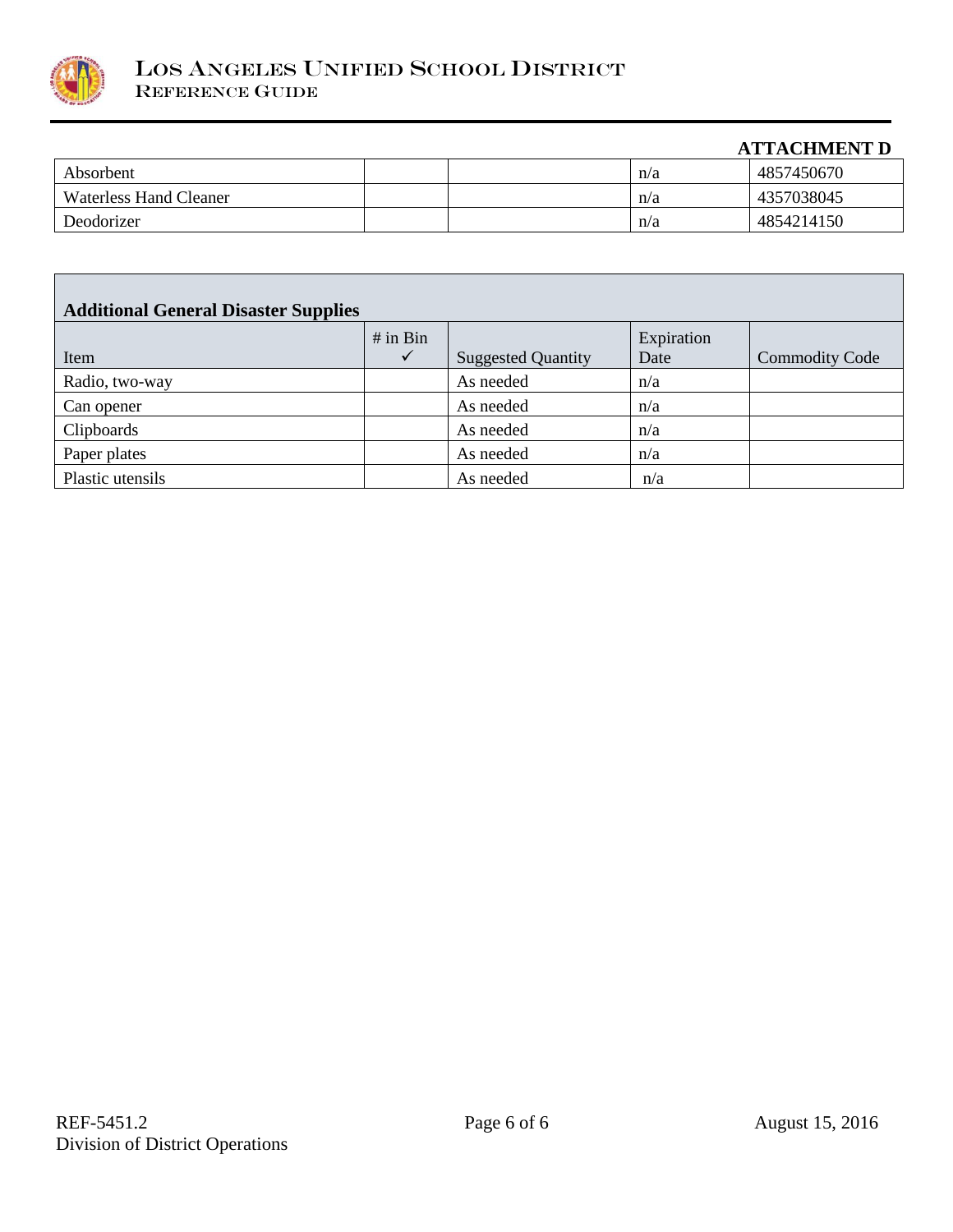

Fiscal Services Branch.

Possible Funding Strategies:

- 1. Conduct fund-raising events.
- 2. Announce earthquake/emergency preparedness needs in the school bulletin, parent letter, school and community newspaper.
- 3. Use individual contacts with corporations to generate contributions of cash or supplies.
- 4. Identify school representatives to make presentations to service clubs regarding earthquake preparedness needs.

Student Involvement:

- 1. Form a student Emergency Preparedness Club.
- 2. Assist in organizing fundraising projects.

Adopt-A-School Program:

1. Consult with your Adopt-A-School sponsor(s) to best use their talents and resources.

Faculty Involvement:

- 1. Discuss creative ideas to purchase supplies.
- 2. Convey specific school needs to appropriate community contacts.

**RELATED RESOURCES:** For training on how to use emergency supplies and manage emergency situations, please see the Safety Training in Emergency Preparedness at Schools (STEPS) website at STEPS.lausd.net.

> REF-5450.1, *School Emergency Response Boxes*, dated March 19, 2013, issued by the Office of School Operations

REF-5803.3, *Emergency Drills and Procedures*, dated March 2, 2016, issued by the Office of School Operations

REF-6537.0, *Inter-Campus/District-Wide Safety Communications Test*, dated July 27, 2015, issued jointly by the Office of Educational Services and the Information Technology Division

REF-6343.0, *School-Based Radio Systems,* dated July 29, 2014, issued by the Information Technology Division

Federal Emergency Management Agency at [www.fema.gov](http://www.fema.gov/)

FEMA for Kids at [www.fema.gov/kids](http://www.fema.gov/kids)

LA Chapter of the Red Cross at [www.redcrossla.org](http://www.redcrossla.org/)

California Emergency Management Agency at [www.calema.ca.gov](http://www.calema.ca.gov/)